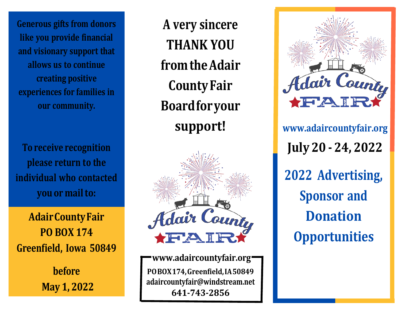**Generous gifts from donors like you provide financial and visionary support that allows us to continue creating positive experiences for families in our community.**

**To receive recognition please return to the individual who contacted you or mailto:**

**AdairCountyFair PO BOX 174 Greenfield, Iowa 50849**

> **before May 1, 2022**

**A very sincere THANK YOU fromtheAdair County Fair Board foryour support!**



**[www.adaircountyfair.org](http://www.adaircountyfair.org/) POBOX174, Greenfield, IA 50849 [adaircountyfair@windstream.net](mailto:adaircountyfair@windstream.net) 641-743-2856**



**[www.adaircountyfair.org](http://www.adaircountyfair.org/) July 20 - 24, 2022 2022 Advertising, Sponsor and Donation Opportunities**